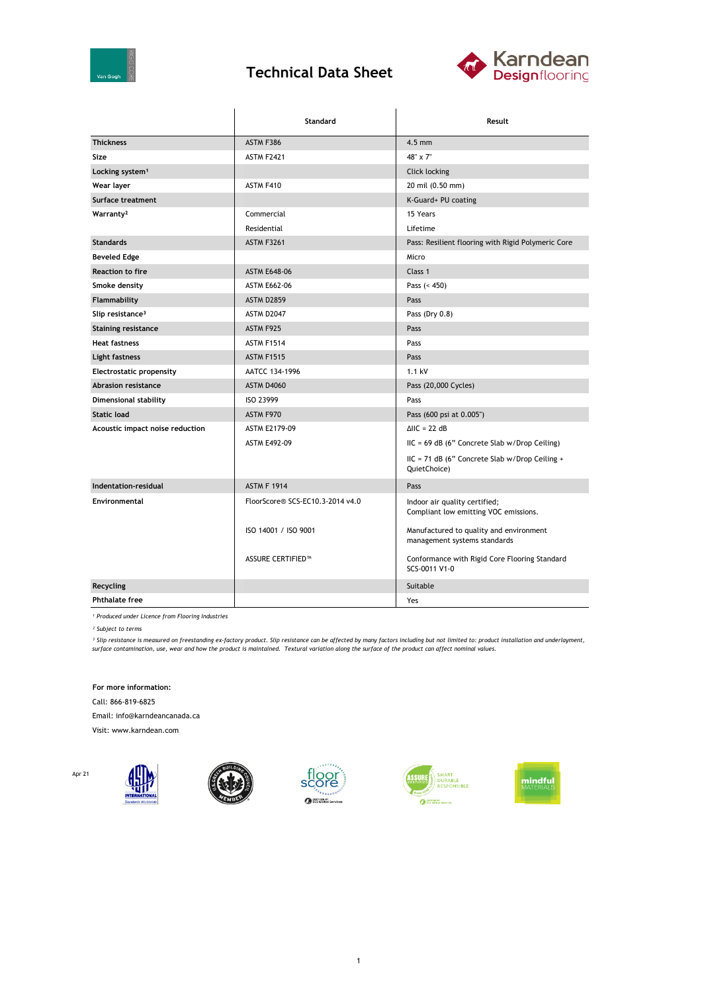

## **Technical Data Sheet**



|                                 | Standard                                        | Result                                                                  |  |
|---------------------------------|-------------------------------------------------|-------------------------------------------------------------------------|--|
| <b>Thickness</b>                | ASTM F386                                       | $4.5$ mm                                                                |  |
| Size                            | <b>ASTM F2421</b>                               | 48" x 7"                                                                |  |
| Locking system <sup>1</sup>     |                                                 | Click locking                                                           |  |
| Wear layer                      | ASTM F410                                       | 20 mil (0.50 mm)                                                        |  |
| Surface treatment               |                                                 | K-Guard+ PU coating                                                     |  |
| Warranty <sup>2</sup>           | Commercial                                      | 15 Years                                                                |  |
|                                 | Residential                                     | Lifetime                                                                |  |
| <b>Standards</b>                | <b>ASTM F3261</b>                               | Pass: Resilient flooring with Rigid Polymeric Core                      |  |
| <b>Beveled Edge</b>             |                                                 | Micro                                                                   |  |
| <b>Reaction to fire</b>         | <b>ASTM E648-06</b>                             | Class 1                                                                 |  |
| Smoke density                   | <b>ASTM E662-06</b>                             | Pass $(< 450)$                                                          |  |
| Flammability                    | <b>ASTM D2859</b>                               | Pass                                                                    |  |
| Slip resistance <sup>3</sup>    | ASTM D2047                                      | Pass (Dry 0.8)                                                          |  |
| <b>Staining resistance</b>      | ASTM F925                                       | Pass                                                                    |  |
| <b>Heat fastness</b>            | ASTM F1514                                      | Pass                                                                    |  |
| Light fastness                  | <b>ASTM F1515</b>                               | Pass                                                                    |  |
| <b>Electrostatic propensity</b> | AATCC 134-1996                                  | 1.1 kV                                                                  |  |
| <b>Abrasion resistance</b>      | ASTM D4060                                      | Pass (20,000 Cycles)                                                    |  |
| Dimensional stability           | ISO 23999                                       | Pass                                                                    |  |
| <b>Static load</b>              | ASTM F970                                       | Pass (600 psi at 0.005")                                                |  |
| Acoustic impact noise reduction | $\triangle$ IIC = 22 dB<br><b>ASTM E2179-09</b> |                                                                         |  |
|                                 | <b>ASTM E492-09</b>                             | $HC = 69 dB$ (6" Concrete Slab w/Drop Ceiling)                          |  |
|                                 |                                                 | IIC = 71 dB (6" Concrete Slab w/Drop Ceiling +<br>QuietChoice)          |  |
| Indentation-residual            | <b>ASTM F 1914</b>                              | Pass                                                                    |  |
| Environmental                   | FloorScore® SCS-EC10.3-2014 v4.0                | Indoor air quality certified;<br>Compliant low emitting VOC emissions.  |  |
|                                 | ISO 14001 / ISO 9001                            | Manufactured to quality and environment<br>management systems standards |  |
|                                 | <b>ASSURE CERTIFIED™</b>                        | Conformance with Rigid Core Flooring Standard<br>SCS-0011 V1-0          |  |
| Recycling                       |                                                 | Suitable                                                                |  |
| <b>Phthalate free</b>           |                                                 | Yes                                                                     |  |

*¹ Produced under Licence from Flooring Industries*

*² Subject to terms*

<sup>3</sup> Slip resistance is measured on freestanding ex-factory product. Slip resistance can be affected by many factors including but not limited to: product installation and underlayment,<br>surface contamination, use, wear and

**For more information:**

Call: 866-819-6825

Email: info@karndeancanada.ca

Visit: www.karndean.com

Apr 21